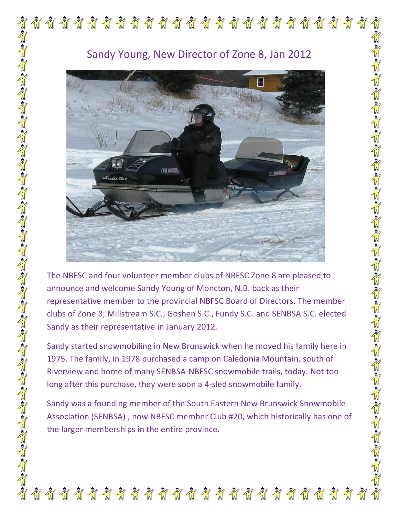

## Sandy Young, New Director of Zone 8, Jan 2012



The NBFSC and four volunteer member clubs of NBFSC Zone 8 are pleased to announce and welcome Sandy Young of Moncton, N.B. back as their representative member to the provincial NBFSC Board of Directors. The member clubs of Zone 8; Millstream S.C., Goshen S.C., Fundy S.C. and SENBSA S.C. elected Sandy as their representative in January 2012.

Sandy started snowmobiling in New Brunswick when he moved his family here in 1975. The family, in 1978 purchased a camp on Caledonia Mountain, south of Riverview and home of many SENBSA-NBFSC snowmobile trails, today. Not too long after this purchase, they were soon a 4-sled snowmobile family.

Sandy was a founding member of the South Eastern New Brunswick Snowmobile Association (SENBSA) , now NBFSC member Club #20, which historically has one of the larger memberships in the entire province.